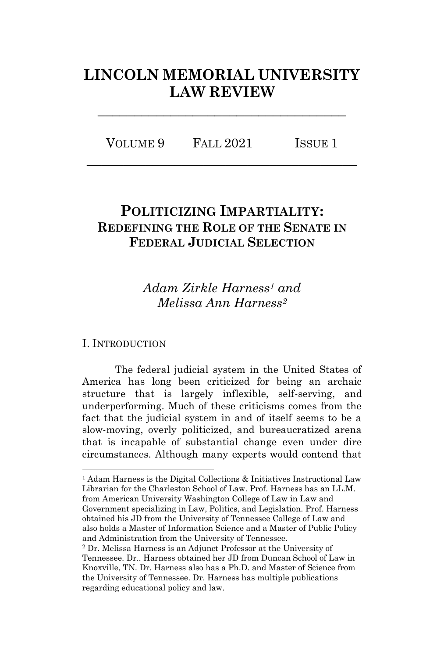# **LINCOLN MEMORIAL UNIVERSITY LAW REVIEW**

**\_\_\_\_\_\_\_\_\_\_\_\_\_\_\_\_\_\_\_\_\_\_\_\_\_\_\_\_\_\_\_\_\_\_**

VOLUME 9 FALL 2021 ISSUE 1 **\_\_\_\_\_\_\_\_\_\_\_\_\_\_\_\_\_\_\_\_\_\_\_\_\_\_\_\_\_\_\_\_\_\_\_\_\_**

## **POLITICIZING IMPARTIALITY: REDEFINING THE ROLE OF THE SENATE IN FEDERAL JUDICIAL SELECTION**

## *Adam Zirkle Harness<sup>1</sup> and Melissa Ann Harness<sup>2</sup>*

#### I. INTRODUCTION

The federal judicial system in the United States of America has long been criticized for being an archaic structure that is largely inflexible, self-serving, and underperforming. Much of these criticisms comes from the fact that the judicial system in and of itself seems to be a slow-moving, overly politicized, and bureaucratized arena that is incapable of substantial change even under dire circumstances. Although many experts would contend that

<sup>1</sup> Adam Harness is the Digital Collections & Initiatives Instructional Law Librarian for the Charleston School of Law. Prof. Harness has an LL.M. from American University Washington College of Law in Law and Government specializing in Law, Politics, and Legislation. Prof. Harness obtained his JD from the University of Tennessee College of Law and also holds a Master of Information Science and a Master of Public Policy and Administration from the University of Tennessee.

<sup>2</sup> Dr. Melissa Harness is an Adjunct Professor at the University of Tennessee. Dr.. Harness obtained her JD from Duncan School of Law in Knoxville, TN. Dr. Harness also has a Ph.D. and Master of Science from the University of Tennessee. Dr. Harness has multiple publications regarding educational policy and law.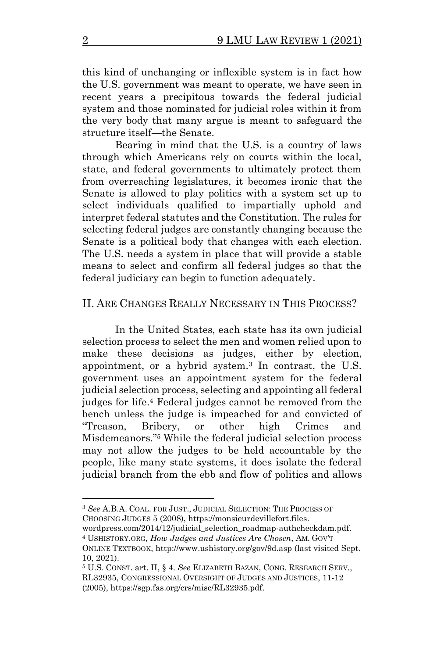this kind of unchanging or inflexible system is in fact how the U.S. government was meant to operate, we have seen in recent years a precipitous towards the federal judicial system and those nominated for judicial roles within it from the very body that many argue is meant to safeguard the structure itself—the Senate.

Bearing in mind that the U.S. is a country of laws through which Americans rely on courts within the local, state, and federal governments to ultimately protect them from overreaching legislatures, it becomes ironic that the Senate is allowed to play politics with a system set up to select individuals qualified to impartially uphold and interpret federal statutes and the Constitution. The rules for selecting federal judges are constantly changing because the Senate is a political body that changes with each election. The U.S. needs a system in place that will provide a stable means to select and confirm all federal judges so that the federal judiciary can begin to function adequately.

#### II. ARE CHANGES REALLY NECESSARY IN THIS PROCESS?

In the United States, each state has its own judicial selection process to select the men and women relied upon to make these decisions as judges, either by election, appointment, or a hybrid system. <sup>3</sup> In contrast, the U.S. government uses an appointment system for the federal judicial selection process, selecting and appointing all federal judges for life. <sup>4</sup> Federal judges cannot be removed from the bench unless the judge is impeached for and convicted of "Treason, Bribery, or other high Crimes and Misdemeanors." <sup>5</sup> While the federal judicial selection process may not allow the judges to be held accountable by the people, like many state systems, it does isolate the federal judicial branch from the ebb and flow of politics and allows

wordpress.com/2014/12/judicial\_selection\_roadmap-authcheckdam.pdf. <sup>4</sup> USHISTORY.ORG, *How Judges and Justices Are Chosen*, AM. GOV'T

<sup>3</sup> *See* A.B.A. COAL. FOR JUST., JUDICIAL SELECTION: THE PROCESS OF CHOOSING JUDGES 5 (2008), https://monsieurdevillefort.files.

ONLINE TEXTBOOK, http://www.ushistory.org/gov/9d.asp (last visited Sept. 10, 2021).

<sup>5</sup> U.S. CONST. art. II, § 4. *See* ELIZABETH BAZAN, CONG. RESEARCH SERV., RL32935, CONGRESSIONAL OVERSIGHT OF JUDGES AND JUSTICES, 11-12 (2005), https://sgp.fas.org/crs/misc/RL32935.pdf.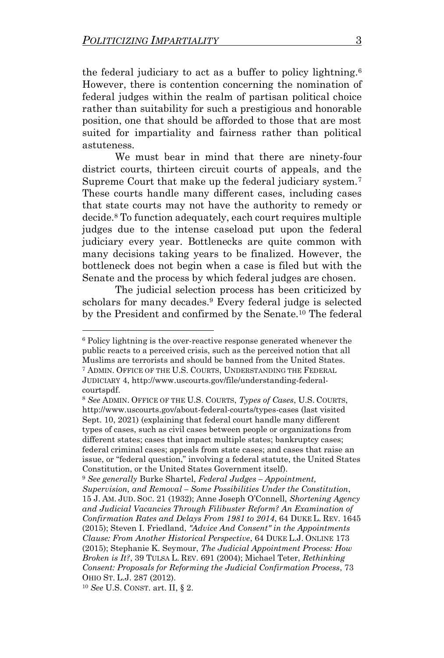the federal judiciary to act as a buffer to policy lightning.<sup>6</sup> However, there is contention concerning the nomination of federal judges within the realm of partisan political choice rather than suitability for such a prestigious and honorable position, one that should be afforded to those that are most suited for impartiality and fairness rather than political astuteness.

We must bear in mind that there are ninety-four district courts, thirteen circuit courts of appeals, and the Supreme Court that make up the federal judiciary system.<sup>7</sup> These courts handle many different cases, including cases that state courts may not have the authority to remedy or decide.<sup>8</sup> To function adequately, each court requires multiple judges due to the intense caseload put upon the federal judiciary every year. Bottlenecks are quite common with many decisions taking years to be finalized. However, the bottleneck does not begin when a case is filed but with the Senate and the process by which federal judges are chosen.

The judicial selection process has been criticized by scholars for many decades.<sup>9</sup> Every federal judge is selected by the President and confirmed by the Senate.<sup>10</sup> The federal

<sup>6</sup> Policy lightning is the over-reactive response generated whenever the public reacts to a perceived crisis, such as the perceived notion that all Muslims are terrorists and should be banned from the United States. <sup>7</sup> ADMIN. OFFICE OF THE U.S. COURTS, UNDERSTANDING THE FEDERAL JUDICIARY 4, http://www.uscourts.gov/file/understanding-federalcourtspdf.

<sup>8</sup> *See* ADMIN. OFFICE OF THE U.S. COURTS, *Types of Cases*, U.S. COURTS, http://www.uscourts.gov/about-federal-courts/types-cases (last visited Sept. 10, 2021) (explaining that federal court handle many different types of cases, such as civil cases between people or organizations from different states; cases that impact multiple states; bankruptcy cases; federal criminal cases; appeals from state cases; and cases that raise an issue, or "federal question," involving a federal statute, the United States Constitution, or the United States Government itself).

<sup>9</sup> *See generally* Burke Shartel, *Federal Judges – Appointment, Supervision, and Removal – Some Possibilities Under the Constitution*, 15 J. AM. JUD. SOC. 21 (1932); Anne Joseph O'Connell, *Shortening Agency and Judicial Vacancies Through Filibuster Reform? An Examination of Confirmation Rates and Delays From 1981 to 2014*, 64 DUKE L. REV. 1645 (2015); Steven I. Friedland, *"Advice And Consent" in the Appointments Clause: From Another Historical Perspective*, 64 DUKE L.J. ONLINE 173 (2015); Stephanie K. Seymour, *The Judicial Appointment Process: How Broken is It?*, 39 TULSA L. REV. 691 (2004); Michael Teter, *Rethinking Consent: Proposals for Reforming the Judicial Confirmation Process*, 73 OHIO ST. L.J. 287 (2012).

<sup>10</sup> *See* U.S. CONST. art. II, § 2.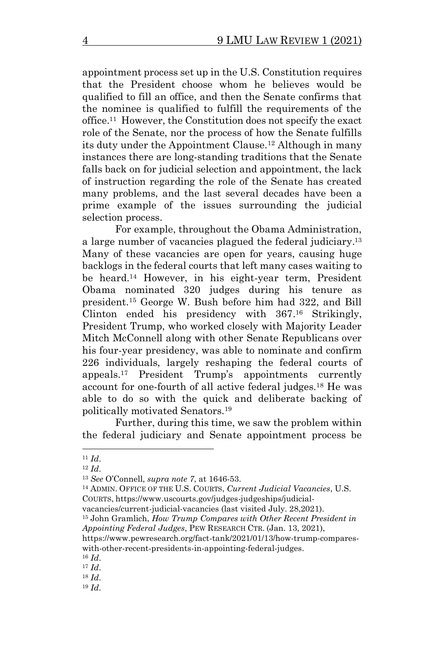appointment process set up in the U.S. Constitution requires that the President choose whom he believes would be qualified to fill an office, and then the Senate confirms that the nominee is qualified to fulfill the requirements of the office.<sup>11</sup> However, the Constitution does not specify the exact role of the Senate, nor the process of how the Senate fulfills its duty under the Appointment Clause.<sup>12</sup> Although in many instances there are long-standing traditions that the Senate falls back on for judicial selection and appointment, the lack of instruction regarding the role of the Senate has created many problems, and the last several decades have been a prime example of the issues surrounding the judicial selection process.

For example, throughout the Obama Administration, a large number of vacancies plagued the federal judiciary.<sup>13</sup> Many of these vacancies are open for years, causing huge backlogs in the federal courts that left many cases waiting to be heard. <sup>14</sup> However, in his eight-year term, President Obama nominated 320 judges during his tenure as president.<sup>15</sup> George W. Bush before him had 322, and Bill Clinton ended his presidency with 367. <sup>16</sup> Strikingly, President Trump, who worked closely with Majority Leader Mitch McConnell along with other Senate Republicans over his four-year presidency, was able to nominate and confirm 226 individuals, largely reshaping the federal courts of appeals. <sup>17</sup> President Trump's appointments currently account for one-fourth of all active federal judges.<sup>18</sup> He was able to do so with the quick and deliberate backing of politically motivated Senators.<sup>19</sup>

Further, during this time, we saw the problem within the federal judiciary and Senate appointment process be

<sup>11</sup> *Id*.

<sup>12</sup> *Id*.

<sup>13</sup> *See* O'Connell, *supra note 7*, at 1646-53.

<sup>14</sup> ADMIN. OFFICE OF THE U.S. COURTS, *Current Judicial Vacancies*, U.S. COURTS, https://www.uscourts.gov/judges-judgeships/judicial-

vacancies/current-judicial-vacancies (last visited July. 28,2021).

<sup>15</sup> John Gramlich, *How Trump Compares with Other Recent President in Appointing Federal Judges*, PEW RESEARCH CTR. (Jan. 13, 2021),

https://www.pewresearch.org/fact-tank/2021/01/13/how-trump-compareswith-other-recent-presidents-in-appointing-federal-judges.

<sup>16</sup> *Id*.

<sup>17</sup> *Id*.

<sup>18</sup> *Id*.

<sup>19</sup> *Id*.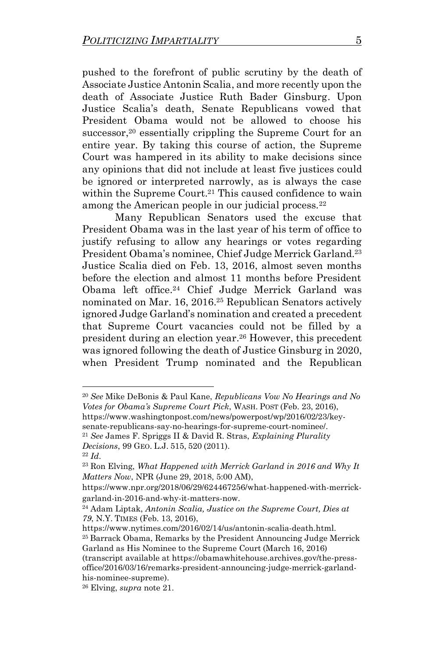pushed to the forefront of public scrutiny by the death of Associate Justice Antonin Scalia, and more recently upon the death of Associate Justice Ruth Bader Ginsburg. Upon Justice Scalia's death, Senate Republicans vowed that President Obama would not be allowed to choose his successor,<sup>20</sup> essentially crippling the Supreme Court for an entire year. By taking this course of action, the Supreme Court was hampered in its ability to make decisions since any opinions that did not include at least five justices could be ignored or interpreted narrowly, as is always the case within the Supreme Court.<sup>21</sup> This caused confidence to wain among the American people in our judicial process.<sup>22</sup>

Many Republican Senators used the excuse that President Obama was in the last year of his term of office to justify refusing to allow any hearings or votes regarding President Obama's nominee, Chief Judge Merrick Garland.<sup>23</sup> Justice Scalia died on Feb. 13, 2016, almost seven months before the election and almost 11 months before President Obama left office. <sup>24</sup> Chief Judge Merrick Garland was nominated on Mar. 16, 2016.<sup>25</sup> Republican Senators actively ignored Judge Garland's nomination and created a precedent that Supreme Court vacancies could not be filled by a president during an election year.<sup>26</sup> However, this precedent was ignored following the death of Justice Ginsburg in 2020, when President Trump nominated and the Republican

senate-republicans-say-no-hearings-for-supreme-court-nominee/.

https://www.nytimes.com/2016/02/14/us/antonin-scalia-death.html. <sup>25</sup> Barrack Obama, Remarks by the President Announcing Judge Merrick Garland as His Nominee to the Supreme Court (March 16, 2016)

(transcript available at [https://obamawhitehouse.archives.gov/the-press](https://obamawhitehouse.archives.gov/the-press-office/2016/03/16/remarks-president-announcing-judge-merrick-garland-his-nominee-supreme)[office/2016/03/16/remarks-president-announcing-judge-merrick-garland](https://obamawhitehouse.archives.gov/the-press-office/2016/03/16/remarks-president-announcing-judge-merrick-garland-his-nominee-supreme)[his-nominee-supreme\)](https://obamawhitehouse.archives.gov/the-press-office/2016/03/16/remarks-president-announcing-judge-merrick-garland-his-nominee-supreme).

<sup>20</sup> *See* Mike DeBonis & Paul Kane, *Republicans Vow No Hearings and No Votes for Obama's Supreme Court Pick*, WASH. POST (Feb. 23, 2016), https://www.washingtonpost.com/news/powerpost/wp/2016/02/23/key-

<sup>21</sup> *See* James F. Spriggs II & David R. Stras, *Explaining Plurality Decisions*, 99 GEO. L.J. 515, 520 (2011).

<sup>22</sup> *Id*.

<sup>23</sup> Ron Elving, *What Happened with Merrick Garland in 2016 and Why It Matters Now*, NPR (June 29, 2018, 5:00 AM),

https://www.npr.org/2018/06/29/624467256/what-happened-with-merrickgarland-in-2016-and-why-it-matters-now.

<sup>24</sup> Adam Liptak, *Antonin Scalia, Justice on the Supreme Court, Dies at 79*, N.Y. TIMES (Feb. 13, 2016),

<sup>26</sup> Elving, *supra* note 21.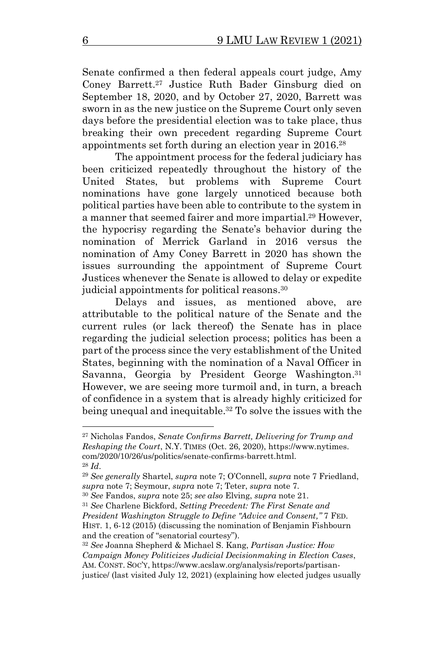Senate confirmed a then federal appeals court judge, Amy Coney Barrett. <sup>27</sup> Justice Ruth Bader Ginsburg died on September 18, 2020, and by October 27, 2020, Barrett was sworn in as the new justice on the Supreme Court only seven days before the presidential election was to take place, thus breaking their own precedent regarding Supreme Court appointments set forth during an election year in 2016.<sup>28</sup>

The appointment process for the federal judiciary has been criticized repeatedly throughout the history of the United States, but problems with Supreme Court nominations have gone largely unnoticed because both political parties have been able to contribute to the system in a manner that seemed fairer and more impartial. <sup>29</sup> However, the hypocrisy regarding the Senate's behavior during the nomination of Merrick Garland in 2016 versus the nomination of Amy Coney Barrett in 2020 has shown the issues surrounding the appointment of Supreme Court Justices whenever the Senate is allowed to delay or expedite judicial appointments for political reasons. 30

Delays and issues, as mentioned above, are attributable to the political nature of the Senate and the current rules (or lack thereof) the Senate has in place regarding the judicial selection process; politics has been a part of the process since the very establishment of the United States, beginning with the nomination of a Naval Officer in Savanna, Georgia by President George Washington.<sup>31</sup> However, we are seeing more turmoil and, in turn, a breach of confidence in a system that is already highly criticized for being unequal and inequitable. <sup>32</sup> To solve the issues with the

<sup>27</sup> Nicholas Fandos, *Senate Confirms Barrett, Delivering for Trump and Reshaping the Court*, N.Y. TIMES (Oct. 26, 2020), https://www.nytimes. com/2020/10/26/us/politics/senate-confirms-barrett.html. <sup>28</sup> *Id*.

<sup>29</sup> *See generally* Shartel, *supra* note 7; O'Connell, *supra* note 7 Friedland, *supra* note 7; Seymour, *supra* note 7; Teter, *supra* note 7.

<sup>30</sup> *See* Fandos, *supra* note 25; *see also* Elving, *supra* note 21.

<sup>31</sup> *See* Charlene Bickford, *Setting Precedent: The First Senate and* 

*President Washington Struggle to Define "Advice and Consent,"* 7 FED.

HIST. 1, 6-12 (2015) (discussing the nomination of Benjamin Fishbourn and the creation of "senatorial courtesy").

<sup>32</sup> *See* Joanna Shepherd & Michael S. Kang, *Partisan Justice: How Campaign Money Politicizes Judicial Decisionmaking in Election Cases*, AM. CONST. SOC'Y, https://www.acslaw.org/analysis/reports/partisan-

justice/ (last visited July 12, 2021) (explaining how elected judges usually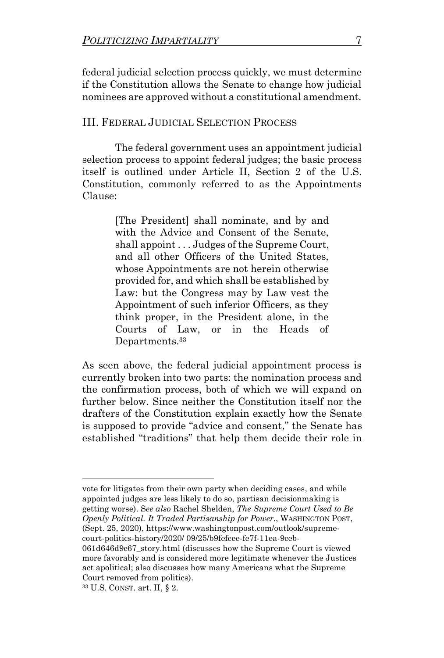federal judicial selection process quickly, we must determine if the Constitution allows the Senate to change how judicial nominees are approved without a constitutional amendment.

#### III. FEDERAL JUDICIAL SELECTION PROCESS

The federal government uses an appointment judicial selection process to appoint federal judges; the basic process itself is outlined under Article II, Section 2 of the U.S. Constitution, commonly referred to as the Appointments Clause:

> [The President] shall nominate, and by and with the Advice and Consent of the Senate, shall appoint . . . Judges of the Supreme Court, and all other Officers of the United States, whose Appointments are not herein otherwise provided for, and which shall be established by Law: but the Congress may by Law vest the Appointment of such inferior Officers, as they think proper, in the President alone, in the Courts of Law, or in the Heads of Departments.<sup>33</sup>

As seen above, the federal judicial appointment process is currently broken into two parts: the nomination process and the confirmation process, both of which we will expand on further below. Since neither the Constitution itself nor the drafters of the Constitution explain exactly how the Senate is supposed to provide "advice and consent," the Senate has established "traditions" that help them decide their role in

vote for litigates from their own party when deciding cases, and while appointed judges are less likely to do so, partisan decisionmaking is getting worse). S*ee also* Rachel Shelden, *The Supreme Court Used to Be Openly Political. It Traded Partisanship for Power.*, WASHINGTON POST, (Sept. 25, 2020), https://www.washingtonpost.com/outlook/supremecourt-politics-history/2020/ 09/25/b9fefcee-fe7f-11ea-9ceb-

061d646d9c67\_story.html (discusses how the Supreme Court is viewed more favorably and is considered more legitimate whenever the Justices act apolitical; also discusses how many Americans what the Supreme Court removed from politics).

<sup>33</sup> U.S. CONST. art. II, § 2.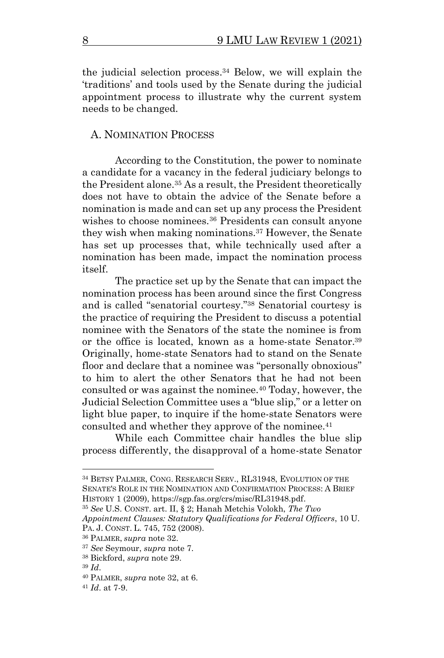the judicial selection process. <sup>34</sup> Below, we will explain the 'traditions' and tools used by the Senate during the judicial appointment process to illustrate why the current system needs to be changed.

#### A. NOMINATION PROCESS

According to the Constitution, the power to nominate a candidate for a vacancy in the federal judiciary belongs to the President alone.<sup>35</sup> As a result, the President theoretically does not have to obtain the advice of the Senate before a nomination is made and can set up any process the President wishes to choose nominees.<sup>36</sup> Presidents can consult anyone they wish when making nominations.<sup>37</sup> However, the Senate has set up processes that, while technically used after a nomination has been made, impact the nomination process itself.

The practice set up by the Senate that can impact the nomination process has been around since the first Congress and is called "senatorial courtesy."<sup>38</sup> Senatorial courtesy is the practice of requiring the President to discuss a potential nominee with the Senators of the state the nominee is from or the office is located, known as a home-state Senator.<sup>39</sup> Originally, home-state Senators had to stand on the Senate floor and declare that a nominee was "personally obnoxious" to him to alert the other Senators that he had not been consulted or was against the nominee.<sup>40</sup> Today, however, the Judicial Selection Committee uses a "blue slip," or a letter on light blue paper, to inquire if the home-state Senators were consulted and whether they approve of the nominee.<sup>41</sup>

While each Committee chair handles the blue slip process differently, the disapproval of a home-state Senator

<sup>34</sup> BETSY PALMER, CONG. RESEARCH SERV., RL31948, EVOLUTION OF THE SENATE'S ROLE IN THE NOMINATION AND CONFIRMATION PROCESS: A BRIEF HISTORY 1 (2009), https://sgp.fas.org/crs/misc/RL31948.pdf.

<sup>35</sup> *See* U.S. CONST. art. II, § 2; Hanah Metchis Volokh, *The Two* 

*Appointment Clauses: Statutory Qualifications for Federal Officers*, 10 U. PA. J. CONST. L. 745, 752 (2008).

<sup>36</sup> PALMER, *supra* note 32.

<sup>37</sup> *See* Seymour, *supra* note 7.

<sup>38</sup> Bickford, *supra* note 29.

<sup>39</sup> *Id*.

<sup>40</sup> PALMER, *supra* note 32, at 6.

<sup>41</sup> *Id*. at 7-9.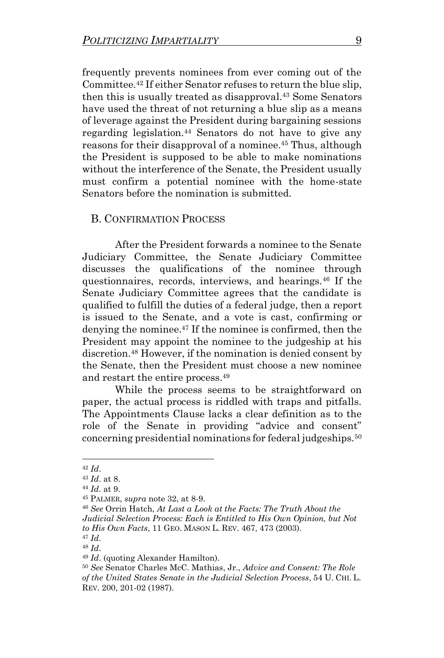frequently prevents nominees from ever coming out of the Committee.<sup>42</sup> If either Senator refuses to return the blue slip, then this is usually treated as disapproval.<sup>43</sup> Some Senators have used the threat of not returning a blue slip as a means of leverage against the President during bargaining sessions regarding legislation.<sup>44</sup> Senators do not have to give any reasons for their disapproval of a nominee.<sup>45</sup> Thus, although the President is supposed to be able to make nominations without the interference of the Senate, the President usually must confirm a potential nominee with the home-state Senators before the nomination is submitted.

#### B. CONFIRMATION PROCESS

After the President forwards a nominee to the Senate Judiciary Committee, the Senate Judiciary Committee discusses the qualifications of the nominee through questionnaires, records, interviews, and hearings.<sup>46</sup> If the Senate Judiciary Committee agrees that the candidate is qualified to fulfill the duties of a federal judge, then a report is issued to the Senate, and a vote is cast, confirming or denying the nominee.<sup>47</sup> If the nominee is confirmed, then the President may appoint the nominee to the judgeship at his discretion.<sup>48</sup> However, if the nomination is denied consent by the Senate, then the President must choose a new nominee and restart the entire process. 49

While the process seems to be straightforward on paper, the actual process is riddled with traps and pitfalls. The Appointments Clause lacks a clear definition as to the role of the Senate in providing "advice and consent" concerning presidential nominations for federal judgeships.<sup>50</sup>

<sup>47</sup> *Id*.

<sup>42</sup> *Id*.

<sup>43</sup> *Id*. at 8.

<sup>44</sup> *Id*. at 9.

<sup>45</sup> PALMER, *supra* note 32, at 8-9.

<sup>46</sup> *See* Orrin Hatch, *At Last a Look at the Facts: The Truth About the Judicial Selection Process: Each is Entitled to His Own Opinion, but Not to His Own Facts*, 11 GEO. MASON L. REV. 467, 473 (2003).

<sup>48</sup> *Id*.

<sup>49</sup> *Id*. (quoting Alexander Hamilton).

<sup>50</sup> *See* Senator Charles McC. Mathias, Jr., *Advice and Consent: The Role of the United States Senate in the Judicial Selection Process*, 54 U. CHI. L. REV. 200, 201-02 (1987).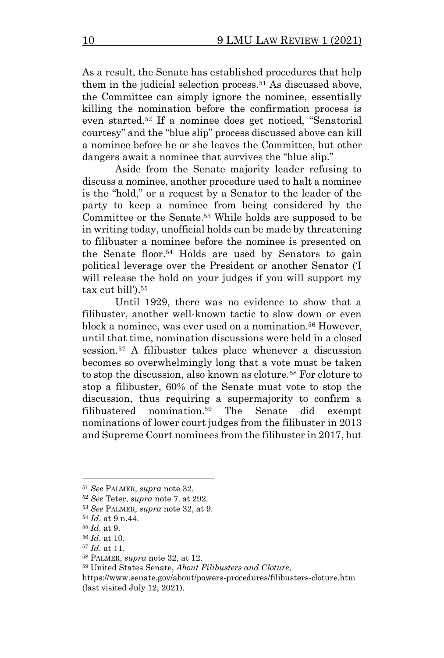As a result, the Senate has established procedures that help them in the judicial selection process.<sup>51</sup> As discussed above, the Committee can simply ignore the nominee, essentially killing the nomination before the confirmation process is even started.<sup>52</sup> If a nominee does get noticed, "Senatorial courtesy" and the "blue slip" process discussed above can kill a nominee before he or she leaves the Committee, but other dangers await a nominee that survives the "blue slip."

Aside from the Senate majority leader refusing to discuss a nominee, another procedure used to halt a nominee is the "hold," or a request by a Senator to the leader of the party to keep a nominee from being considered by the Committee or the Senate.<sup>53</sup> While holds are supposed to be in writing today, unofficial holds can be made by threatening to filibuster a nominee before the nominee is presented on the Senate floor.<sup>54</sup> Holds are used by Senators to gain political leverage over the President or another Senator ('I will release the hold on your judges if you will support my tax cut bill').<sup>55</sup>

Until 1929, there was no evidence to show that a filibuster, another well-known tactic to slow down or even block a nominee, was ever used on a nomination. <sup>56</sup> However, until that time, nomination discussions were held in a closed session.<sup>57</sup> A filibuster takes place whenever a discussion becomes so overwhelmingly long that a vote must be taken to stop the discussion, also known as cloture.<sup>58</sup> For cloture to stop a filibuster, 60% of the Senate must vote to stop the discussion, thus requiring a supermajority to confirm a filibustered nomination.<sup>59</sup> The Senate did exempt nominations of lower court judges from the filibuster in 2013 and Supreme Court nominees from the filibuster in 2017, but

<sup>51</sup> *See* PALMER, *supra* note 32.

<sup>52</sup> *See* Teter, *supra* note 7. at 292.

<sup>53</sup> *See* PALMER, *supra* note 32, at 9.

<sup>54</sup> *Id*. at 9 n.44.

<sup>55</sup> *Id*. at 9.

<sup>56</sup> *Id*. at 10.

<sup>57</sup> *Id*. at 11.

<sup>58</sup> PALMER, *supra* note 32, at 12.

<sup>59</sup> United States Senate, *About Filibusters and Cloture*,

https://www.senate.gov/about/powers-procedures/filibusters-cloture.htm (last visited July 12, 2021).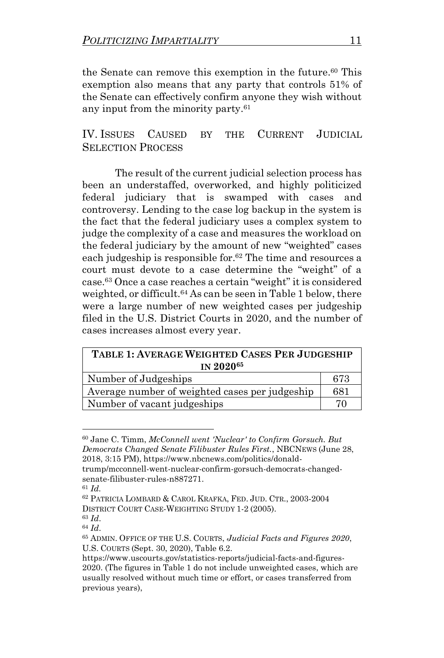the Senate can remove this exemption in the future. <sup>60</sup> This exemption also means that any party that controls 51% of the Senate can effectively confirm anyone they wish without any input from the minority party. 61

IV. ISSUES CAUSED BY THE CURRENT JUDICIAL SELECTION PROCESS

The result of the current judicial selection process has been an understaffed, overworked, and highly politicized federal judiciary that is swamped with cases and controversy. Lending to the case log backup in the system is the fact that the federal judiciary uses a complex system to judge the complexity of a case and measures the workload on the federal judiciary by the amount of new "weighted" cases each judgeship is responsible for.<sup>62</sup> The time and resources a court must devote to a case determine the "weight" of a case.<sup>63</sup> Once a case reaches a certain "weight" it is considered weighted, or difficult.<sup>64</sup> As can be seen in Table 1 below, there were a large number of new weighted cases per judgeship filed in the U.S. District Courts in 2020, and the number of cases increases almost every year.

| TABLE 1: AVERAGE WEIGHTED CASES PER JUDGESHIP  |     |  |
|------------------------------------------------|-----|--|
| <b>IN 202065</b>                               |     |  |
| Number of Judgeships                           | 673 |  |
| Average number of weighted cases per judgeship | 681 |  |
| Number of vacant judgeships                    | 70  |  |

<sup>60</sup> Jane C. Timm, *McConnell went 'Nuclear' to Confirm Gorsuch. But Democrats Changed Senate Filibuster Rules First.*, NBCNEWS (June 28, 2018, 3:15 PM), https://www.nbcnews.com/politics/donald-

trump/mcconnell-went-nuclear-confirm-gorsuch-democrats-changedsenate-filibuster-rules-n887271.

<sup>61</sup> *Id.*

<sup>62</sup> PATRICIA LOMBARD & CAROL KRAFKA, FED. JUD. CTR., 2003-2004 DISTRICT COURT CASE-WEIGHTING STUDY 1-2 (2005).

<sup>63</sup> *Id*.

<sup>64</sup> *Id*.

<sup>65</sup> ADMIN. OFFICE OF THE U.S. COURTS, *Judicial Facts and Figures 2020*, U.S. COURTS (Sept. 30, 2020), Table 6.2.

https://www.uscourts.gov/statistics-reports/judicial-facts-and-figures-2020. (The figures in Table 1 do not include unweighted cases, which are usually resolved without much time or effort, or cases transferred from previous years),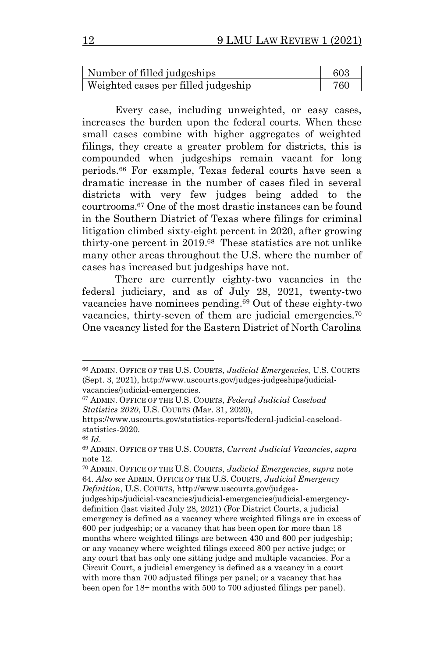| Number of filled judgeships         | 603 |
|-------------------------------------|-----|
| Weighted cases per filled judgeship | 760 |

Every case, including unweighted, or easy cases, increases the burden upon the federal courts. When these small cases combine with higher aggregates of weighted filings, they create a greater problem for districts, this is compounded when judgeships remain vacant for long periods.<sup>66</sup> For example, Texas federal courts have seen a dramatic increase in the number of cases filed in several districts with very few judges being added to the courtrooms. <sup>67</sup> One of the most drastic instances can be found in the Southern District of Texas where filings for criminal litigation climbed sixty-eight percent in 2020, after growing thirty-one percent in 2019. 68 These statistics are not unlike many other areas throughout the U.S. where the number of cases has increased but judgeships have not.

There are currently eighty-two vacancies in the federal judiciary, and as of July 28, 2021, twenty-two vacancies have nominees pending. <sup>69</sup> Out of these eighty-two vacancies, thirty-seven of them are judicial emergencies.<sup>70</sup> One vacancy listed for the Eastern District of North Carolina

<sup>66</sup> ADMIN. OFFICE OF THE U.S. COURTS, *Judicial Emergencies*, U.S. COURTS (Sept. 3, 2021), http://www.uscourts.gov/judges-judgeships/judicialvacancies/judicial-emergencies.

<sup>67</sup> ADMIN. OFFICE OF THE U.S. COURTS, *Federal Judicial Caseload Statistics 2020*, U.S. COURTS (Mar. 31, 2020),

https://www.uscourts.gov/statistics-reports/federal-judicial-caseloadstatistics-2020.

<sup>68</sup> *Id*.

<sup>69</sup> ADMIN. OFFICE OF THE U.S. COURTS, *Current Judicial Vacancies*, *supra* note 12.

<sup>70</sup> ADMIN. OFFICE OF THE U.S. COURTS, *Judicial Emergencies*, *supra* note 64. *Also see* ADMIN. OFFICE OF THE U.S. COURTS, *Judicial Emergency Definition*, U.S. COURTS, http://www.uscourts.gov/judges-

judgeships/judicial-vacancies/judicial-emergencies/judicial-emergencydefinition (last visited July 28, 2021) (For District Courts, a judicial emergency is defined as a vacancy where weighted filings are in excess of 600 per judgeship; or a vacancy that has been open for more than 18 months where weighted filings are between 430 and 600 per judgeship; or any vacancy where weighted filings exceed 800 per active judge; or any court that has only one sitting judge and multiple vacancies. For a Circuit Court, a judicial emergency is defined as a vacancy in a court with more than 700 adjusted filings per panel; or a vacancy that has been open for 18+ months with 500 to 700 adjusted filings per panel).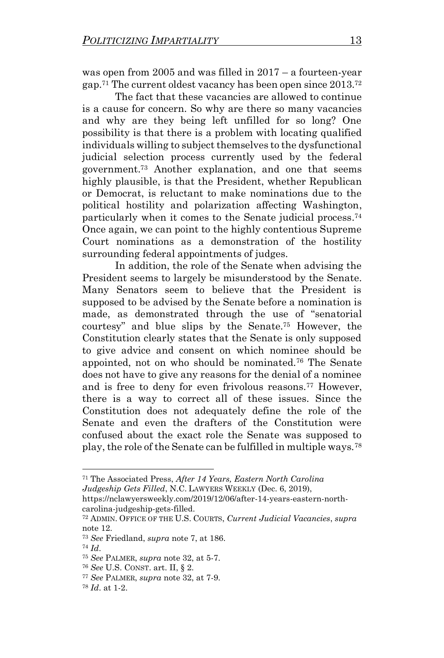was open from 2005 and was filled in 2017 – a fourteen-year gap. <sup>71</sup> The current oldest vacancy has been open since 2013.<sup>72</sup>

The fact that these vacancies are allowed to continue is a cause for concern. So why are there so many vacancies and why are they being left unfilled for so long? One possibility is that there is a problem with locating qualified individuals willing to subject themselves to the dysfunctional judicial selection process currently used by the federal government.<sup>73</sup> Another explanation, and one that seems highly plausible, is that the President, whether Republican or Democrat, is reluctant to make nominations due to the political hostility and polarization affecting Washington, particularly when it comes to the Senate judicial process. 74 Once again, we can point to the highly contentious Supreme Court nominations as a demonstration of the hostility surrounding federal appointments of judges.

In addition, the role of the Senate when advising the President seems to largely be misunderstood by the Senate. Many Senators seem to believe that the President is supposed to be advised by the Senate before a nomination is made, as demonstrated through the use of "senatorial courtesy" and blue slips by the Senate.<sup>75</sup> However, the Constitution clearly states that the Senate is only supposed to give advice and consent on which nominee should be appointed, not on who should be nominated.<sup>76</sup> The Senate does not have to give any reasons for the denial of a nominee and is free to deny for even frivolous reasons.<sup>77</sup> However, there is a way to correct all of these issues. Since the Constitution does not adequately define the role of the Senate and even the drafters of the Constitution were confused about the exact role the Senate was supposed to play, the role of the Senate can be fulfilled in multiple ways.<sup>78</sup>

<sup>71</sup> The Associated Press, *After 14 Years, Eastern North Carolina Judgeship Gets Filled*, N.C. LAWYERS WEEKLY (Dec. 6, 2019),

https://nclawyersweekly.com/2019/12/06/after-14-years-eastern-northcarolina-judgeship-gets-filled.

<sup>72</sup> ADMIN. OFFICE OF THE U.S. COURTS, *Current Judicial Vacancies*, *supra* note 12.

<sup>73</sup> *See* Friedland, *supra* note 7, at 186.

<sup>74</sup> *Id*.

<sup>75</sup> *See* PALMER, *supra* note 32, at 5-7.

<sup>76</sup> *See* U.S. CONST. art. II, § 2.

<sup>77</sup> *See* PALMER, *supra* note 32, at 7-9.

<sup>78</sup> *Id*. at 1-2.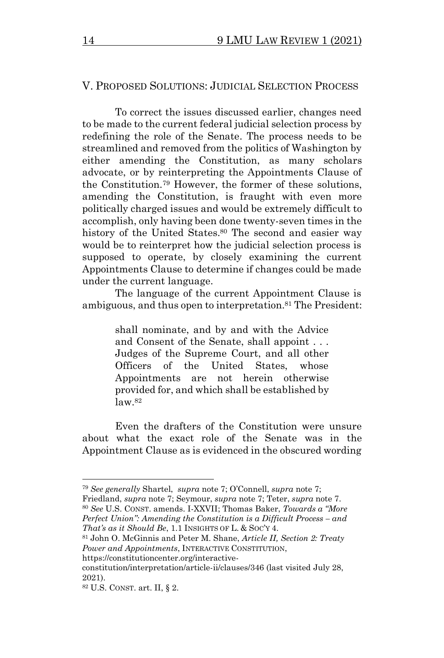### V. PROPOSED SOLUTIONS: JUDICIAL SELECTION PROCESS

To correct the issues discussed earlier, changes need to be made to the current federal judicial selection process by redefining the role of the Senate. The process needs to be streamlined and removed from the politics of Washington by either amending the Constitution, as many scholars advocate, or by reinterpreting the Appointments Clause of the Constitution.<sup>79</sup> However, the former of these solutions, amending the Constitution, is fraught with even more politically charged issues and would be extremely difficult to accomplish, only having been done twenty-seven times in the history of the United States. <sup>80</sup> The second and easier way would be to reinterpret how the judicial selection process is supposed to operate, by closely examining the current Appointments Clause to determine if changes could be made under the current language.

The language of the current Appointment Clause is ambiguous, and thus open to interpretation.<sup>81</sup> The President:

> shall nominate, and by and with the Advice and Consent of the Senate, shall appoint . . . Judges of the Supreme Court, and all other Officers of the United States, whose Appointments are not herein otherwise provided for, and which shall be established by law.<sup>82</sup>

Even the drafters of the Constitution were unsure about what the exact role of the Senate was in the Appointment Clause as is evidenced in the obscured wording

<sup>79</sup> *See generally* Shartel, *supra* note 7; O'Connell, *supra* note 7;

Friedland, *supra* note 7; Seymour, *supra* note 7; Teter, *supra* note 7.

<sup>80</sup> *See* U.S. CONST. amends. I-XXVII; Thomas Baker, *Towards a "More Perfect Union": Amending the Constitution is a Difficult Process – and That's as it Should Be*, 1.1 INSIGHTS OF L. & SOC'Y 4.

<sup>81</sup> John O. McGinnis and Peter M. Shane, *Article II, Section 2: Treaty Power and Appointments*, INTERACTIVE CONSTITUTION,

https://constitutioncenter.org/interactive-

constitution/interpretation/article-ii/clauses/346 (last visited July 28, 2021).

<sup>82</sup> U.S. CONST. art. II, § 2.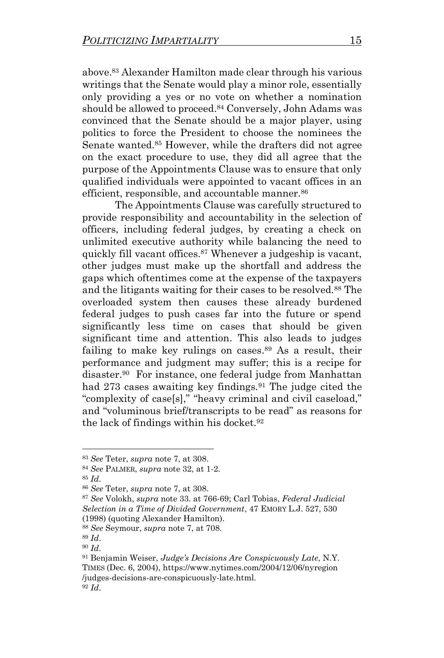above. <sup>83</sup> Alexander Hamilton made clear through his various writings that the Senate would play a minor role, essentially only providing a yes or no vote on whether a nomination should be allowed to proceed. <sup>84</sup> Conversely, John Adams was convinced that the Senate should be a major player, using politics to force the President to choose the nominees the Senate wanted.<sup>85</sup> However, while the drafters did not agree on the exact procedure to use, they did all agree that the purpose of the Appointments Clause was to ensure that only qualified individuals were appointed to vacant offices in an efficient, responsible, and accountable manner.<sup>86</sup>

The Appointments Clause was carefully structured to provide responsibility and accountability in the selection of officers, including federal judges, by creating a check on unlimited executive authority while balancing the need to quickly fill vacant offices.<sup>87</sup> Whenever a judgeship is vacant, other judges must make up the shortfall and address the gaps which oftentimes come at the expense of the taxpayers and the litigants waiting for their cases to be resolved.<sup>88</sup> The overloaded system then causes these already burdened federal judges to push cases far into the future or spend significantly less time on cases that should be given significant time and attention. This also leads to judges failing to make key rulings on cases. <sup>89</sup> As a result, their performance and judgment may suffer; this is a recipe for disaster.<sup>90</sup> For instance, one federal judge from Manhattan had 273 cases awaiting key findings.<sup>91</sup> The judge cited the "complexity of case[s]," "heavy criminal and civil caseload," and "voluminous brief/transcripts to be read" as reasons for the lack of findings within his docket.<sup>92</sup>

<sup>83</sup> *See* Teter, *supra* note 7, at 308.

<sup>84</sup> *See* PALMER, *supra* note 32, at 1-2.

<sup>85</sup> *Id*.

<sup>86</sup> *See* Teter, *supra* note 7, at 308.

<sup>87</sup> *See* Volokh, *supra* note 33. at 766-69; Carl Tobias, *Federal Judicial Selection in a Time of Divided Government*, 47 EMORY L.J. 527, 530 (1998) (quoting Alexander Hamilton).

<sup>88</sup> *See* Seymour, *supra* note 7, at 708.

<sup>89</sup> *Id*.

<sup>90</sup> *Id*.

<sup>91</sup> Benjamin Weiser, *Judge's Decisions Are Conspicuously Late*, N.Y. TIMES (Dec. 6, 2004), https://www.nytimes.com/2004/12/06/nyregion /judges-decisions-are-conspicuously-late.html. <sup>92</sup> *Id*.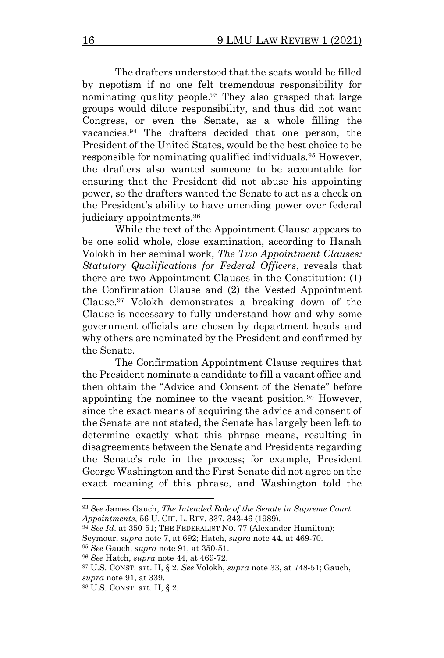The drafters understood that the seats would be filled by nepotism if no one felt tremendous responsibility for nominating quality people. <sup>93</sup> They also grasped that large groups would dilute responsibility, and thus did not want Congress, or even the Senate, as a whole filling the vacancies. <sup>94</sup> The drafters decided that one person, the President of the United States, would be the best choice to be responsible for nominating qualified individuals. <sup>95</sup> However, the drafters also wanted someone to be accountable for ensuring that the President did not abuse his appointing power, so the drafters wanted the Senate to act as a check on the President's ability to have unending power over federal judiciary appointments. 96

While the text of the Appointment Clause appears to be one solid whole, close examination, according to Hanah Volokh in her seminal work, *The Two Appointment Clauses: Statutory Qualifications for Federal Officers*, reveals that there are two Appointment Clauses in the Constitution: (1) the Confirmation Clause and (2) the Vested Appointment Clause. <sup>97</sup> Volokh demonstrates a breaking down of the Clause is necessary to fully understand how and why some government officials are chosen by department heads and why others are nominated by the President and confirmed by the Senate.

The Confirmation Appointment Clause requires that the President nominate a candidate to fill a vacant office and then obtain the "Advice and Consent of the Senate" before appointing the nominee to the vacant position.<sup>98</sup> However, since the exact means of acquiring the advice and consent of the Senate are not stated, the Senate has largely been left to determine exactly what this phrase means, resulting in disagreements between the Senate and Presidents regarding the Senate's role in the process; for example, President George Washington and the First Senate did not agree on the exact meaning of this phrase, and Washington told the

<sup>93</sup> *See* James Gauch, *The Intended Role of the Senate in Supreme Court Appointments*, 56 U. CHI. L. REV. 337, 343-46 (1989).

<sup>94</sup> *See Id*. at 350-51; THE FEDERALIST NO. 77 (Alexander Hamilton);

Seymour, *supra* note 7, at 692; Hatch, *supra* note 44, at 469-70.

<sup>95</sup> *See* Gauch, *supra* note 91, at 350-51.

<sup>96</sup> *See* Hatch, *supra* note 44, at 469-72.

<sup>97</sup> U.S. CONST. art. II, § 2. *See* Volokh, *supra* note 33, at 748-51; Gauch, *supra* note 91, at 339.

<sup>98</sup> U.S. CONST. art. II, § 2.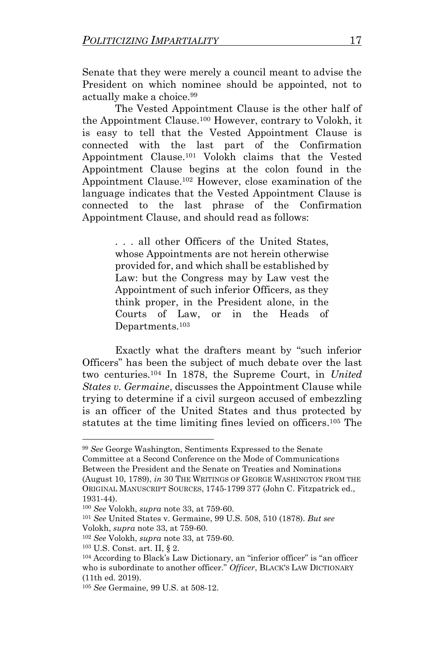Senate that they were merely a council meant to advise the President on which nominee should be appointed, not to actually make a choice.<sup>99</sup>

The Vested Appointment Clause is the other half of the Appointment Clause.<sup>100</sup> However, contrary to Volokh, it is easy to tell that the Vested Appointment Clause is connected with the last part of the Confirmation Appointment Clause.<sup>101</sup> Volokh claims that the Vested Appointment Clause begins at the colon found in the Appointment Clause. <sup>102</sup> However, close examination of the language indicates that the Vested Appointment Clause is connected to the last phrase of the Confirmation Appointment Clause, and should read as follows:

> . . . all other Officers of the United States, whose Appointments are not herein otherwise provided for, and which shall be established by Law: but the Congress may by Law vest the Appointment of such inferior Officers, as they think proper, in the President alone, in the Courts of Law, or in the Heads of Departments.<sup>103</sup>

Exactly what the drafters meant by "such inferior Officers" has been the subject of much debate over the last two centuries.<sup>104</sup> In 1878, the Supreme Court, in *United States v. Germaine*, discusses the Appointment Clause while trying to determine if a civil surgeon accused of embezzling is an officer of the United States and thus protected by statutes at the time limiting fines levied on officers. <sup>105</sup> The

<sup>99</sup> *See* George Washington, Sentiments Expressed to the Senate Committee at a Second Conference on the Mode of Communications Between the President and the Senate on Treaties and Nominations (August 10, 1789), *in* 30 THE WRITINGS OF GEORGE WASHINGTON FROM THE ORIGINAL MANUSCRIPT SOURCES, 1745-1799 377 (John C. Fitzpatrick ed., 1931-44).

<sup>100</sup> *See* Volokh, *supra* note 33, at 759-60.

<sup>101</sup> *See* United States v. Germaine, 99 U.S. 508, 510 (1878). *But see* Volokh, *supra* note 33, at 759-60.

<sup>102</sup> *See* Volokh, *supra* note 33, at 759-60.

<sup>103</sup> U.S. Const. art. II, § 2.

<sup>104</sup> According to Black's Law Dictionary, an "inferior officer" is "an officer who is subordinate to another officer." *Officer*, BLACK'S LAW DICTIONARY (11th ed. 2019).

<sup>105</sup> *See* Germaine, 99 U.S. at 508-12.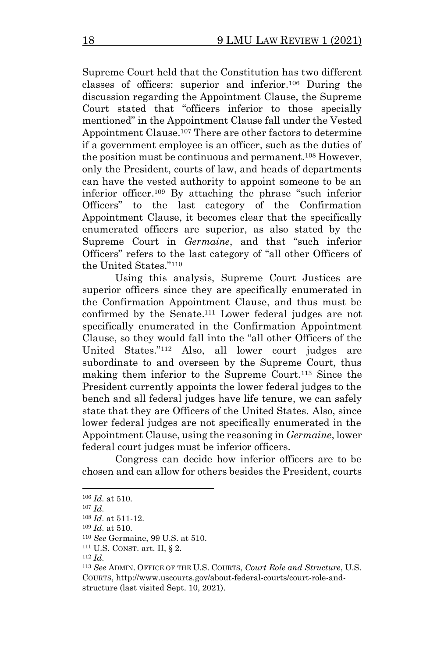Supreme Court held that the Constitution has two different classes of officers: superior and inferior.<sup>106</sup> During the discussion regarding the Appointment Clause, the Supreme Court stated that "officers inferior to those specially mentioned" in the Appointment Clause fall under the Vested Appointment Clause.<sup>107</sup> There are other factors to determine if a government employee is an officer, such as the duties of the position must be continuous and permanent.<sup>108</sup> However, only the President, courts of law, and heads of departments can have the vested authority to appoint someone to be an inferior officer.<sup>109</sup> By attaching the phrase "such inferior Officers" to the last category of the Confirmation Appointment Clause, it becomes clear that the specifically enumerated officers are superior, as also stated by the Supreme Court in *Germaine*, and that "such inferior Officers" refers to the last category of "all other Officers of the United States." 110

Using this analysis, Supreme Court Justices are superior officers since they are specifically enumerated in the Confirmation Appointment Clause, and thus must be confirmed by the Senate. <sup>111</sup> Lower federal judges are not specifically enumerated in the Confirmation Appointment Clause, so they would fall into the "all other Officers of the United States."<sup>112</sup> Also, all lower court judges are subordinate to and overseen by the Supreme Court, thus making them inferior to the Supreme Court.<sup>113</sup> Since the President currently appoints the lower federal judges to the bench and all federal judges have life tenure, we can safely state that they are Officers of the United States. Also, since lower federal judges are not specifically enumerated in the Appointment Clause, using the reasoning in *Germaine*, lower federal court judges must be inferior officers.

Congress can decide how inferior officers are to be chosen and can allow for others besides the President, courts

<sup>106</sup> *Id*. at 510.

<sup>107</sup> *Id*.

<sup>108</sup> *Id*. at 511-12.

<sup>109</sup> *Id*. at 510.

<sup>110</sup> *See* Germaine, 99 U.S. at 510.

 $111$  U.S. CONST. art. II, § 2.

<sup>112</sup> *Id*.

<sup>113</sup> *See* ADMIN. OFFICE OF THE U.S. COURTS, *Court Role and Structure*, U.S. COURTS, http://www.uscourts.gov/about-federal-courts/court-role-andstructure (last visited Sept. 10, 2021).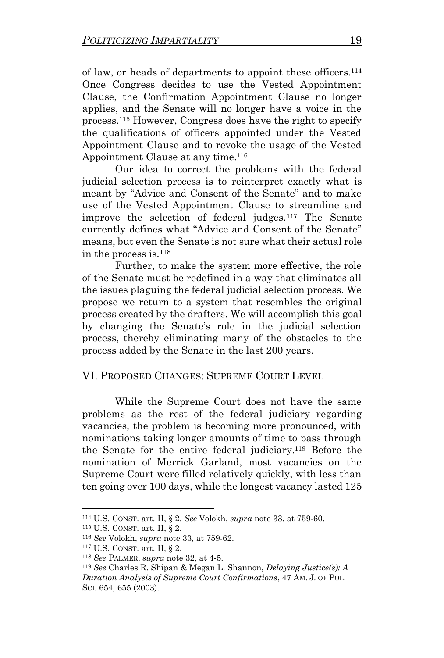of law, or heads of departments to appoint these officers.<sup>114</sup> Once Congress decides to use the Vested Appointment Clause, the Confirmation Appointment Clause no longer applies, and the Senate will no longer have a voice in the process.<sup>115</sup> However, Congress does have the right to specify the qualifications of officers appointed under the Vested Appointment Clause and to revoke the usage of the Vested Appointment Clause at any time. 116

Our idea to correct the problems with the federal judicial selection process is to reinterpret exactly what is meant by "Advice and Consent of the Senate" and to make use of the Vested Appointment Clause to streamline and improve the selection of federal judges. <sup>117</sup> The Senate currently defines what "Advice and Consent of the Senate" means, but even the Senate is not sure what their actual role in the process is.<sup>118</sup>

Further, to make the system more effective, the role of the Senate must be redefined in a way that eliminates all the issues plaguing the federal judicial selection process. We propose we return to a system that resembles the original process created by the drafters. We will accomplish this goal by changing the Senate's role in the judicial selection process, thereby eliminating many of the obstacles to the process added by the Senate in the last 200 years.

#### VI. PROPOSED CHANGES: SUPREME COURT LEVEL

While the Supreme Court does not have the same problems as the rest of the federal judiciary regarding vacancies, the problem is becoming more pronounced, with nominations taking longer amounts of time to pass through the Senate for the entire federal judiciary.<sup>119</sup> Before the nomination of Merrick Garland, most vacancies on the Supreme Court were filled relatively quickly, with less than ten going over 100 days, while the longest vacancy lasted 125

<sup>114</sup> U.S. CONST. art. II, § 2. *See* Volokh, *supra* note 33, at 759-60.

 $115$  U.S. CONST. art. II, § 2.

<sup>116</sup> *See* Volokh, *supra* note 33, at 759-62.

<sup>117</sup> U.S. CONST. art. II, § 2.

<sup>118</sup> *See* PALMER, *supra* note 32, at 4-5.

<sup>119</sup> *See* Charles R. Shipan & Megan L. Shannon, *Delaying Justice(s): A Duration Analysis of Supreme Court Confirmations*, 47 AM. J. OF POL. SCI. 654, 655 (2003).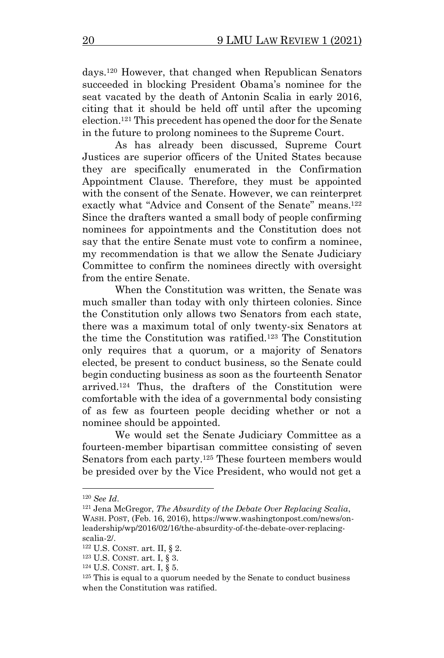days. <sup>120</sup> However, that changed when Republican Senators succeeded in blocking President Obama's nominee for the seat vacated by the death of Antonin Scalia in early 2016, citing that it should be held off until after the upcoming election. <sup>121</sup> This precedent has opened the door for the Senate in the future to prolong nominees to the Supreme Court.

As has already been discussed, Supreme Court Justices are superior officers of the United States because they are specifically enumerated in the Confirmation Appointment Clause. Therefore, they must be appointed with the consent of the Senate. However, we can reinterpret exactly what "Advice and Consent of the Senate" means.<sup>122</sup> Since the drafters wanted a small body of people confirming nominees for appointments and the Constitution does not say that the entire Senate must vote to confirm a nominee, my recommendation is that we allow the Senate Judiciary Committee to confirm the nominees directly with oversight from the entire Senate.

When the Constitution was written, the Senate was much smaller than today with only thirteen colonies. Since the Constitution only allows two Senators from each state, there was a maximum total of only twenty-six Senators at the time the Constitution was ratified.<sup>123</sup> The Constitution only requires that a quorum, or a majority of Senators elected, be present to conduct business, so the Senate could begin conducting business as soon as the fourteenth Senator arrived.<sup>124</sup> Thus, the drafters of the Constitution were comfortable with the idea of a governmental body consisting of as few as fourteen people deciding whether or not a nominee should be appointed.

We would set the Senate Judiciary Committee as a fourteen-member bipartisan committee consisting of seven Senators from each party.<sup>125</sup> These fourteen members would be presided over by the Vice President, who would not get a

<sup>120</sup> *See Id*.

<sup>121</sup> Jena McGregor, *The Absurdity of the Debate Over Replacing Scalia*, WASH. POST, (Feb. 16, 2016), https://www.washingtonpost.com/news/onleadership/wp/2016/02/16/the-absurdity-of-the-debate-over-replacingscalia-2/.

 $122$  U.S. CONST. art. II, § 2.

<sup>123</sup> U.S. CONST. art. I, § 3.

<sup>124</sup> U.S. CONST. art. I, § 5.

 $125$  This is equal to a quorum needed by the Senate to conduct business when the Constitution was ratified.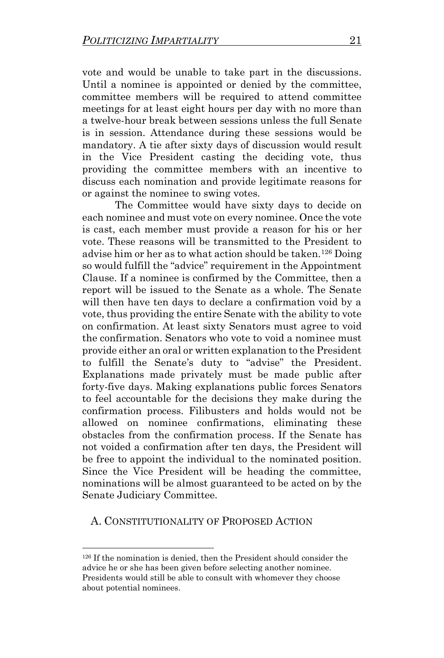vote and would be unable to take part in the discussions. Until a nominee is appointed or denied by the committee, committee members will be required to attend committee meetings for at least eight hours per day with no more than a twelve-hour break between sessions unless the full Senate is in session. Attendance during these sessions would be mandatory. A tie after sixty days of discussion would result in the Vice President casting the deciding vote, thus providing the committee members with an incentive to discuss each nomination and provide legitimate reasons for or against the nominee to swing votes.

The Committee would have sixty days to decide on each nominee and must vote on every nominee. Once the vote is cast, each member must provide a reason for his or her vote. These reasons will be transmitted to the President to advise him or her as to what action should be taken.<sup>126</sup> Doing so would fulfill the "advice" requirement in the Appointment Clause. If a nominee is confirmed by the Committee, then a report will be issued to the Senate as a whole. The Senate will then have ten days to declare a confirmation void by a vote, thus providing the entire Senate with the ability to vote on confirmation. At least sixty Senators must agree to void the confirmation. Senators who vote to void a nominee must provide either an oral or written explanation to the President to fulfill the Senate's duty to "advise" the President. Explanations made privately must be made public after forty-five days. Making explanations public forces Senators to feel accountable for the decisions they make during the confirmation process. Filibusters and holds would not be allowed on nominee confirmations, eliminating these obstacles from the confirmation process. If the Senate has not voided a confirmation after ten days, the President will be free to appoint the individual to the nominated position. Since the Vice President will be heading the committee, nominations will be almost guaranteed to be acted on by the Senate Judiciary Committee.

A. CONSTITUTIONALITY OF PROPOSED ACTION

<sup>126</sup> If the nomination is denied, then the President should consider the advice he or she has been given before selecting another nominee. Presidents would still be able to consult with whomever they choose about potential nominees.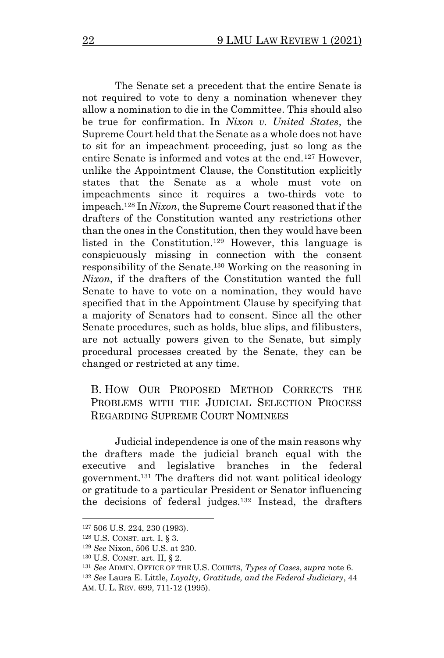The Senate set a precedent that the entire Senate is not required to vote to deny a nomination whenever they allow a nomination to die in the Committee. This should also be true for confirmation. In *Nixon v. United States*, the Supreme Court held that the Senate as a whole does not have to sit for an impeachment proceeding, just so long as the entire Senate is informed and votes at the end.<sup>127</sup> However, unlike the Appointment Clause, the Constitution explicitly states that the Senate as a whole must vote on impeachments since it requires a two-thirds vote to impeach.<sup>128</sup> In *Nixon*, the Supreme Court reasoned that if the drafters of the Constitution wanted any restrictions other than the ones in the Constitution, then they would have been listed in the Constitution. <sup>129</sup> However, this language is conspicuously missing in connection with the consent responsibility of the Senate.<sup>130</sup> Working on the reasoning in *Nixon*, if the drafters of the Constitution wanted the full Senate to have to vote on a nomination, they would have specified that in the Appointment Clause by specifying that a majority of Senators had to consent. Since all the other Senate procedures, such as holds, blue slips, and filibusters, are not actually powers given to the Senate, but simply procedural processes created by the Senate, they can be changed or restricted at any time.

### B. HOW OUR PROPOSED METHOD CORRECTS THE PROBLEMS WITH THE JUDICIAL SELECTION PROCESS REGARDING SUPREME COURT NOMINEES

Judicial independence is one of the main reasons why the drafters made the judicial branch equal with the executive and legislative branches in the federal government.<sup>131</sup> The drafters did not want political ideology or gratitude to a particular President or Senator influencing the decisions of federal judges.<sup>132</sup> Instead, the drafters

<sup>127</sup> 506 U.S. 224, 230 (1993).

<sup>128</sup> U.S. CONST. art. I, § 3.

<sup>129</sup> *See* Nixon, 506 U.S. at 230.

<sup>130</sup> U.S. CONST. art. II, § 2.

<sup>131</sup> *See* ADMIN. OFFICE OF THE U.S. COURTS, *Types of Cases*, *supra* note 6.

<sup>132</sup> *See* Laura E. Little, *Loyalty, Gratitude, and the Federal Judiciary*, 44 AM. U. L. REV. 699, 711-12 (1995).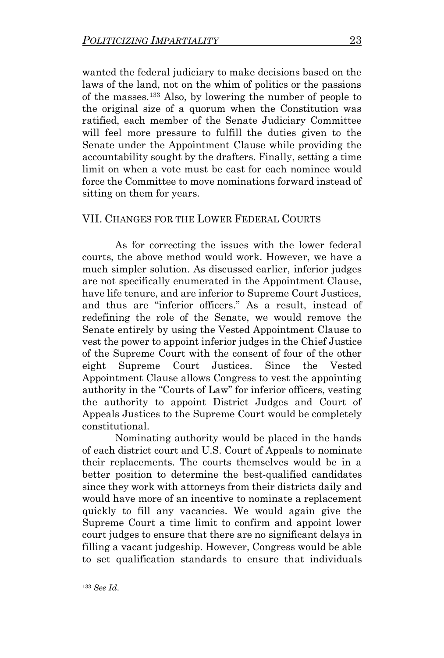wanted the federal judiciary to make decisions based on the laws of the land, not on the whim of politics or the passions of the masses.<sup>133</sup> Also, by lowering the number of people to the original size of a quorum when the Constitution was ratified, each member of the Senate Judiciary Committee will feel more pressure to fulfill the duties given to the Senate under the Appointment Clause while providing the accountability sought by the drafters. Finally, setting a time limit on when a vote must be cast for each nominee would force the Committee to move nominations forward instead of sitting on them for years.

## VII. CHANGES FOR THE LOWER FEDERAL COURTS

As for correcting the issues with the lower federal courts, the above method would work. However, we have a much simpler solution. As discussed earlier, inferior judges are not specifically enumerated in the Appointment Clause, have life tenure, and are inferior to Supreme Court Justices, and thus are "inferior officers." As a result, instead of redefining the role of the Senate, we would remove the Senate entirely by using the Vested Appointment Clause to vest the power to appoint inferior judges in the Chief Justice of the Supreme Court with the consent of four of the other eight Supreme Court Justices. Since the Vested Appointment Clause allows Congress to vest the appointing authority in the "Courts of Law" for inferior officers, vesting the authority to appoint District Judges and Court of Appeals Justices to the Supreme Court would be completely constitutional.

Nominating authority would be placed in the hands of each district court and U.S. Court of Appeals to nominate their replacements. The courts themselves would be in a better position to determine the best-qualified candidates since they work with attorneys from their districts daily and would have more of an incentive to nominate a replacement quickly to fill any vacancies. We would again give the Supreme Court a time limit to confirm and appoint lower court judges to ensure that there are no significant delays in filling a vacant judgeship. However, Congress would be able to set qualification standards to ensure that individuals

<sup>133</sup> *See Id*.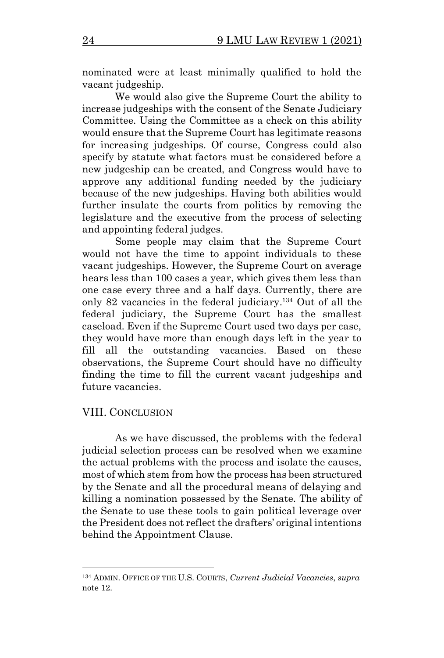nominated were at least minimally qualified to hold the vacant judgeship.

We would also give the Supreme Court the ability to increase judgeships with the consent of the Senate Judiciary Committee. Using the Committee as a check on this ability would ensure that the Supreme Court has legitimate reasons for increasing judgeships. Of course, Congress could also specify by statute what factors must be considered before a new judgeship can be created, and Congress would have to approve any additional funding needed by the judiciary because of the new judgeships. Having both abilities would further insulate the courts from politics by removing the legislature and the executive from the process of selecting and appointing federal judges.

Some people may claim that the Supreme Court would not have the time to appoint individuals to these vacant judgeships. However, the Supreme Court on average hears less than 100 cases a year, which gives them less than one case every three and a half days. Currently, there are only 82 vacancies in the federal judiciary. <sup>134</sup> Out of all the federal judiciary, the Supreme Court has the smallest caseload. Even if the Supreme Court used two days per case, they would have more than enough days left in the year to fill all the outstanding vacancies. Based on these observations, the Supreme Court should have no difficulty finding the time to fill the current vacant judgeships and future vacancies.

#### VIII. CONCLUSION

As we have discussed, the problems with the federal judicial selection process can be resolved when we examine the actual problems with the process and isolate the causes, most of which stem from how the process has been structured by the Senate and all the procedural means of delaying and killing a nomination possessed by the Senate. The ability of the Senate to use these tools to gain political leverage over the President does not reflect the drafters' original intentions behind the Appointment Clause.

<sup>134</sup> ADMIN. OFFICE OF THE U.S. COURTS, *Current Judicial Vacancies*, *supra* note 12.